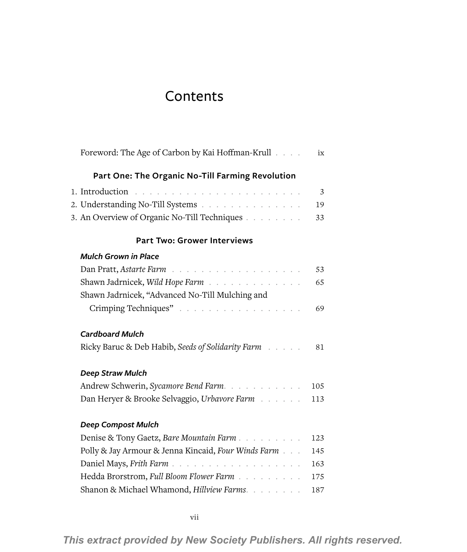## **Contents**

| Foreword: The Age of Carbon by Kai Hoffman-Krull    | ix  |
|-----------------------------------------------------|-----|
| Part One: The Organic No-Till Farming Revolution    |     |
|                                                     | 3   |
| 2. Understanding No-Till Systems                    | 19  |
| 3. An Overview of Organic No-Till Techniques        | 33  |
| <b>Part Two: Grower Interviews</b>                  |     |
| <b>Mulch Grown in Place</b>                         |     |
|                                                     | 53  |
| Shawn Jadrnicek, Wild Hope Farm                     | 65  |
| Shawn Jadrnicek, "Advanced No-Till Mulching and     |     |
| Crimping Techniques"                                | 69  |
| <b>Cardboard Mulch</b>                              |     |
| Ricky Baruc & Deb Habib, Seeds of Solidarity Farm   | 81  |
| Deep Straw Mulch                                    |     |
| Andrew Schwerin, Sycamore Bend Farm.                | 105 |
| Dan Heryer & Brooke Selvaggio, Urbavore Farm        | 113 |
| <b>Deep Compost Mulch</b>                           |     |
| Denise & Tony Gaetz, Bare Mountain Farm             | 123 |
| Polly & Jay Armour & Jenna Kincaid, Four Winds Farm | 145 |
|                                                     | 163 |
| Hedda Brorstrom, Full Bloom Flower Farm             | 175 |
| Shanon & Michael Whamond, Hillview Farms.           | 187 |
|                                                     |     |

*This extract provided by New Society Publishers. All rights reserved.*